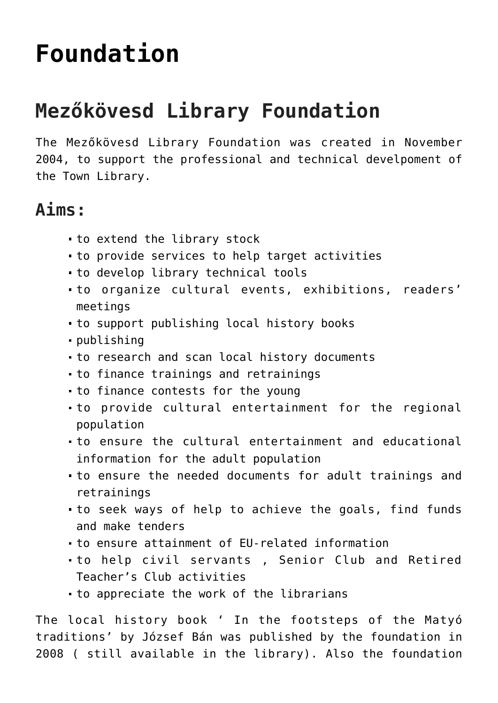## **[Foundation](https://matyovk.hu/en/library/foundation/)**

## **Mezőkövesd Library Foundation**

The Mezőkövesd Library Foundation was created in November 2004, to support the professional and technical develpoment of the Town Library.

## **Aims:**

- to extend the library stock
- to provide services to help target activities
- to develop library technical tools
- to organize cultural events, exhibitions, readers' meetings
- to support publishing local history books
- publishing
- to research and scan local history documents
- to finance trainings and retrainings
- to finance contests for the young
- to provide cultural entertainment for the regional population
- to ensure the cultural entertainment and educational information for the adult population
- to ensure the needed documents for adult trainings and retrainings
- to seek ways of help to achieve the goals, find funds and make tenders
- to ensure attainment of EU-related information
- to help civil servants , Senior Club and Retired Teacher's Club activities
- to appreciate the work of the librarians

The local history book ' In the footsteps of the Matyó traditions' by József Bán was published by the foundation in 2008 ( still available in the library). Also the foundation